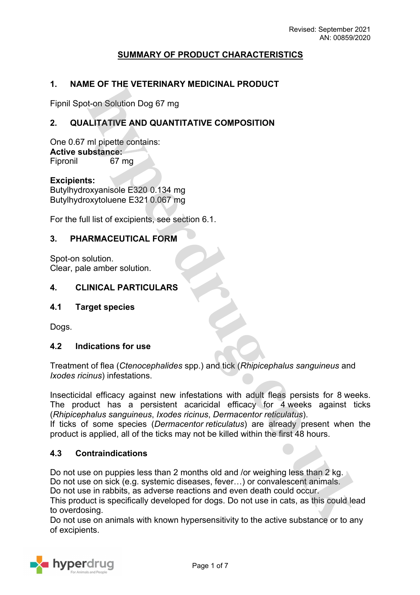# **SUMMARY OF PRODUCT CHARACTERISTICS**

# **1. NAME OF THE VETERINARY MEDICINAL PRODUCT**

Fipnil Spot-on Solution Dog 67 mg

# **2. QUALITATIVE AND QUANTITATIVE COMPOSITION**

One 0.67 ml pipette contains: **Active substance:** Fipronil 67 mg

**Excipients:** Butylhydroxyanisole E320 0.134 mg Butylhydroxytoluene E321 0.067 mg

For the full list of excipients, see section 6.1.

### **3. PHARMACEUTICAL FORM**

Spot-on solution. Clear, pale amber solution.

### **4. CLINICAL PARTICULARS**

#### **4.1 Target species**

Dogs.

#### **4.2 Indications for use**

Treatment of flea (*Ctenocephalides* spp.) and tick (*Rhipicephalus sanguineus* and *Ixodes ricinus*) infestations.

Insecticidal efficacy against new infestations with adult fleas persists for 8 weeks. The product has a persistent acaricidal efficacy for 4 weeks against ticks (*Rhipicephalus sanguineus*, *Ixodes ricinus*, *Dermacentor reticulatus*).

If ticks of some species (*Dermacentor reticulatus*) are already present when the product is applied, all of the ticks may not be killed within the first 48 hours.

### **4.3 Contraindications**

Do not use on puppies less than 2 months old and /or weighing less than 2 kg. Do not use on sick (e.g. systemic diseases, fever…) or convalescent animals. Do not use in rabbits, as adverse reactions and even death could occur.

This product is specifically developed for dogs. Do not use in cats, as this could lead to overdosing.

Do not use on animals with known hypersensitivity to the active substance or to any of excipients.

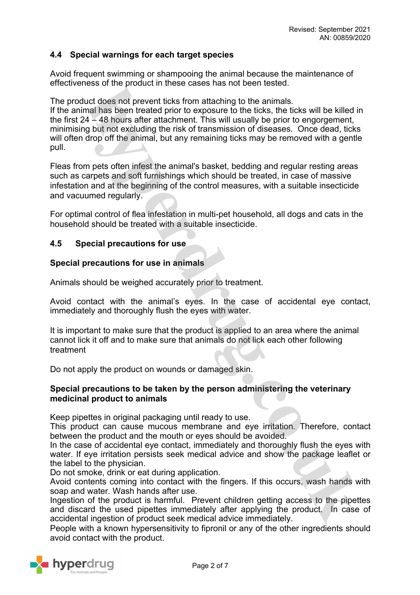# **4.4 Special warnings for each target species**

Avoid frequent swimming or shampooing the animal because the maintenance of effectiveness of the product in these cases has not been tested.

The product does not prevent ticks from attaching to the animals.

If the animal has been treated prior to exposure to the ticks, the ticks will be killed in the first 24 – 48 hours after attachment. This will usually be prior to engorgement, minimising but not excluding the risk of transmission of diseases. Once dead, ticks will often drop off the animal, but any remaining ticks may be removed with a gentle pull.

Fleas from pets often infest the animal's basket, bedding and regular resting areas such as carpets and soft furnishings which should be treated, in case of massive infestation and at the beginning of the control measures, with a suitable insecticide and vacuumed regularly.

For optimal control of flea infestation in multi-pet household, all dogs and cats in the household should be treated with a suitable insecticide.

#### **4.5 Special precautions for use**

#### **Special precautions for use in animals**

Animals should be weighed accurately prior to treatment.

Avoid contact with the animal's eyes. In the case of accidental eye contact, immediately and thoroughly flush the eyes with water.

It is important to make sure that the product is applied to an area where the animal cannot lick it off and to make sure that animals do not lick each other following treatment

Do not apply the product on wounds or damaged skin.

#### **Special precautions to be taken by the person administering the veterinary medicinal product to animals**

Keep pipettes in original packaging until ready to use.

This product can cause mucous membrane and eye irritation. Therefore, contact between the product and the mouth or eyes should be avoided.

In the case of accidental eye contact, immediately and thoroughly flush the eyes with water. If eye irritation persists seek medical advice and show the package leaflet or the label to the physician.

Do not smoke, drink or eat during application.

Avoid contents coming into contact with the fingers. If this occurs, wash hands with soap and water. Wash hands after use.

Ingestion of the product is harmful. Prevent children getting access to the pipettes and discard the used pipettes immediately after applying the product. In case of accidental ingestion of product seek medical advice immediately.

People with a known hypersensitivity to fipronil or any of the other ingredients should avoid contact with the product.

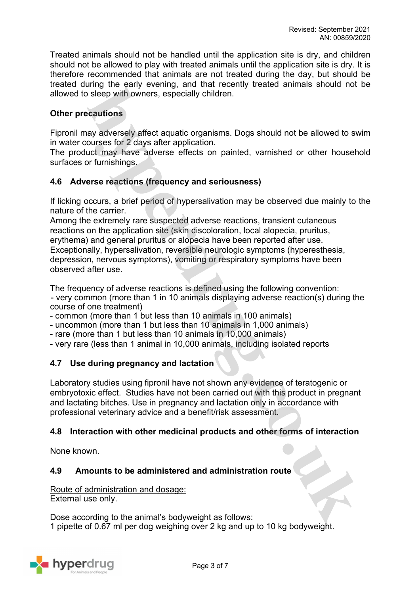Treated animals should not be handled until the application site is dry, and children should not be allowed to play with treated animals until the application site is dry. It is therefore recommended that animals are not treated during the day, but should be treated during the early evening, and that recently treated animals should not be allowed to sleep with owners, especially children.

# **Other precautions**

Fipronil may adversely affect aquatic organisms. Dogs should not be allowed to swim in water courses for 2 days after application.

The product may have adverse effects on painted, varnished or other household surfaces or furnishings.

# **4.6 Adverse reactions (frequency and seriousness)**

If licking occurs, a brief period of hypersalivation may be observed due mainly to the nature of the carrier.

Among the extremely rare suspected adverse reactions, transient cutaneous reactions on the application site (skin discoloration, local alopecia, pruritus, erythema) and general pruritus or alopecia have been reported after use. Exceptionally, hypersalivation, reversible neurologic symptoms (hyperesthesia, depression, nervous symptoms), vomiting or respiratory symptoms have been observed after use.

The frequency of adverse reactions is defined using the following convention: - very common (more than 1 in 10 animals displaying adverse reaction(s) during the course of one treatment)

- common (more than 1 but less than 10 animals in 100 animals)

- uncommon (more than 1 but less than 10 animals in 1,000 animals)

- rare (more than 1 but less than 10 animals in 10,000 animals)

- very rare (less than 1 animal in 10,000 animals, including isolated reports

# **4.7 Use during pregnancy and lactation**

Laboratory studies using fipronil have not shown any evidence of teratogenic or embryotoxic effect. Studies have not been carried out with this product in pregnant and lactating bitches. Use in pregnancy and lactation only in accordance with professional veterinary advice and a benefit/risk assessment.

# **4.8 Interaction with other medicinal products and other forms of interaction**

None known.

#### **4.9 Amounts to be administered and administration route**

Route of administration and dosage: External use only.

Dose according to the animal's bodyweight as follows: 1 pipette of 0.67 ml per dog weighing over 2 kg and up to 10 kg bodyweight.

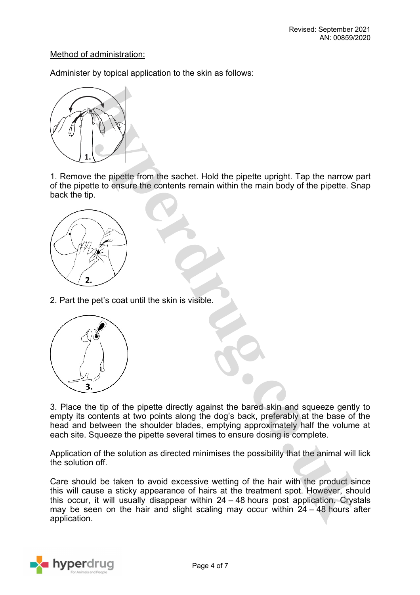## Method of administration:

Administer by topical application to the skin as follows:



1. Remove the pipette from the sachet. Hold the pipette upright. Tap the narrow part of the pipette to ensure the contents remain within the main body of the pipette. Snap back the tip.



2. Part the pet's coat until the skin is visible.



3. Place the tip of the pipette directly against the bared skin and squeeze gently to empty its contents at two points along the dog's back, preferably at the base of the head and between the shoulder blades, emptying approximately half the volume at each site. Squeeze the pipette several times to ensure dosing is complete.

Application of the solution as directed minimises the possibility that the animal will lick the solution off.

Care should be taken to avoid excessive wetting of the hair with the product since this will cause a sticky appearance of hairs at the treatment spot. However, should this occur, it will usually disappear within 24 – 48 hours post application. Crystals may be seen on the hair and slight scaling may occur within 24 – 48 hours after application.

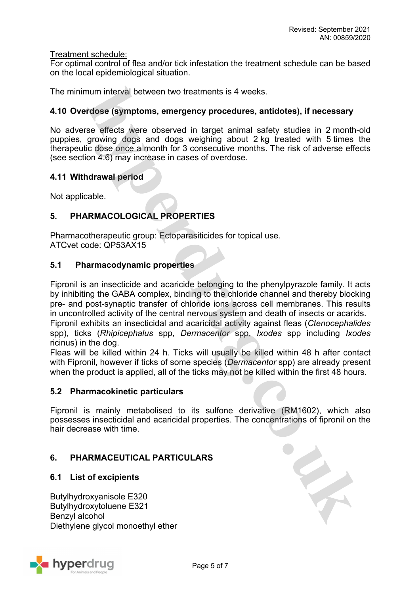### Treatment schedule:

For optimal control of flea and/or tick infestation the treatment schedule can be based on the local epidemiological situation.

The minimum interval between two treatments is 4 weeks.

## **4.10 Overdose (symptoms, emergency procedures, antidotes), if necessary**

No adverse effects were observed in target animal safety studies in 2 month-old puppies, growing dogs and dogs weighing about 2 kg treated with 5 times the therapeutic dose once a month for 3 consecutive months. The risk of adverse effects (see section 4.6) may increase in cases of overdose.

### **4.11 Withdrawal period**

Not applicable.

# **5. PHARMACOLOGICAL PROPERTIES**

Pharmacotherapeutic group: Ectoparasiticides for topical use. ATCvet code: QP53AX15

### **5.1 Pharmacodynamic properties**

Fipronil is an insecticide and acaricide belonging to the phenylpyrazole family. It acts by inhibiting the GABA complex, binding to the chloride channel and thereby blocking pre- and post-synaptic transfer of chloride ions across cell membranes. This results in uncontrolled activity of the central nervous system and death of insects or acarids.

Fipronil exhibits an insecticidal and acaricidal activity against fleas (*Ctenocephalides* spp), ticks (*Rhipicephalus* spp, *Dermacentor* spp, *Ixodes* spp including *Ixodes* ricinus) in the dog.

Fleas will be killed within 24 h. Ticks will usually be killed within 48 h after contact with Fipronil, however if ticks of some species (*Dermacentor* spp) are already present when the product is applied, all of the ticks may not be killed within the first 48 hours.

#### **5.2 Pharmacokinetic particulars**

Fipronil is mainly metabolised to its sulfone derivative (RM1602), which also possesses insecticidal and acaricidal properties. The concentrations of fipronil on the hair decrease with time.

# **6. PHARMACEUTICAL PARTICULARS**

# **6.1 List of excipients**

Butylhydroxyanisole E320 Butylhydroxytoluene E321 Benzyl alcohol Diethylene glycol monoethyl ether



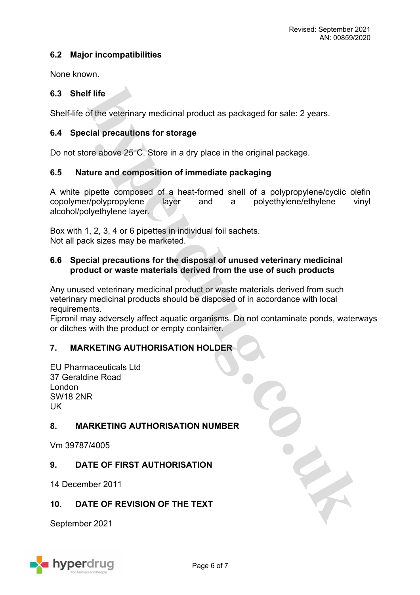# **6.2 Major incompatibilities**

None known.

# **6.3 Shelf life**

Shelf-life of the veterinary medicinal product as packaged for sale: 2 years.

# **6.4 Special precautions for storage**

Do not store above  $25^{\circ}$ C. Store in a dry place in the original package.

# **6.5 Nature and composition of immediate packaging**

A white pipette composed of a heat-formed shell of a polypropylene/cyclic olefin copolymer/polypropylene layer and a polyethylene/ethylene vinyl alcohol/polyethylene layer.

Box with 1, 2, 3, 4 or 6 pipettes in individual foil sachets. Not all pack sizes may be marketed.

# **6.6 Special precautions for the disposal of unused veterinary medicinal product or waste materials derived from the use of such products**

Any unused veterinary medicinal product or waste materials derived from such veterinary medicinal products should be disposed of in accordance with local requirements.

Fipronil may adversely affect aquatic organisms. Do not contaminate ponds, waterways or ditches with the product or empty container.

# **7. MARKETING AUTHORISATION HOLDER**

EU Pharmaceuticals Ltd 37 Geraldine Road London SW18 2NR UK

# **8. MARKETING AUTHORISATION NUMBER**

Vm 39787/4005

# **9. DATE OF FIRST AUTHORISATION**

14 December 2011

# **10. DATE OF REVISION OF THE TEXT**

September 2021